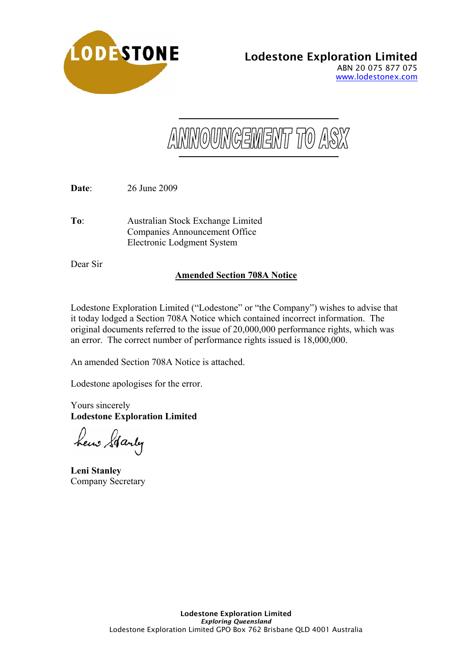

ANNOUNGEMENT TO ASX

**Date**: 26 June 2009

**To**: Australian Stock Exchange Limited Companies Announcement Office Electronic Lodgment System

Dear Sir

## **Amended Section 708A Notice**

Lodestone Exploration Limited ("Lodestone" or "the Company") wishes to advise that it today lodged a Section 708A Notice which contained incorrect information. The original documents referred to the issue of 20,000,000 performance rights, which was an error. The correct number of performance rights issued is 18,000,000.

An amended Section 708A Notice is attached.

Lodestone apologises for the error.

Yours sincerely **Lodestone Exploration Limited** 

hew Starty

**Leni Stanley**  Company Secretary